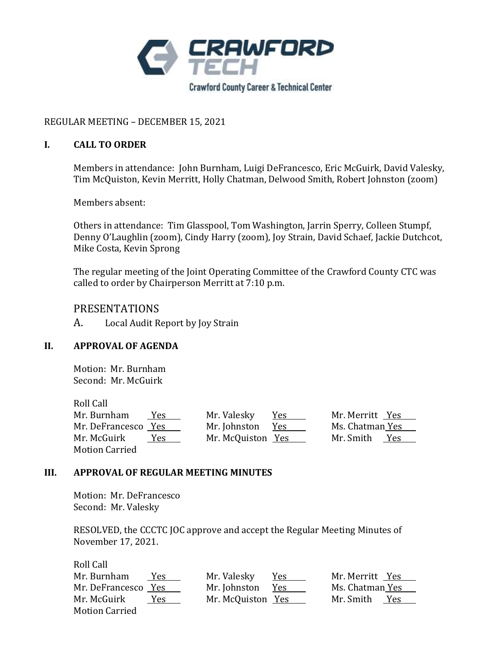

# REGULAR MEETING – DECEMBER 15, 2021

## **I. CALL TO ORDER**

Members in attendance: John Burnham, Luigi DeFrancesco, Eric McGuirk, David Valesky, Tim McQuiston, Kevin Merritt, Holly Chatman, Delwood Smith, Robert Johnston (zoom)

Members absent:

Others in attendance: Tim Glasspool, Tom Washington, Jarrin Sperry, Colleen Stumpf, Denny O'Laughlin (zoom), Cindy Harry (zoom), Joy Strain, David Schaef, Jackie Dutchcot, Mike Costa, Kevin Sprong

The regular meeting of the Joint Operating Committee of the Crawford County CTC was called to order by Chairperson Merritt at 7:10 p.m.

# PRESENTATIONS

A. Local Audit Report by Joy Strain

### **II. APPROVAL OF AGENDA**

Motion: Mr. Burnham Second: Mr. McGuirk

Roll Call

| Mr. Burnham           | Yes. | Mr. Valesky       | Y <u>es</u> | Mr. Merritt Yes  |
|-----------------------|------|-------------------|-------------|------------------|
| Mr. DeFrancesco Yes   |      | Mr. Johnston      | Yes         | Ms. Chatman Yes  |
| Mr. McGuirk           | Yes. | Mr. McQuiston Yes |             | Mr. Smith<br>Yes |
| <b>Motion Carried</b> |      |                   |             |                  |

### **III. APPROVAL OF REGULAR MEETING MINUTES**

Motion: Mr. DeFrancesco Second: Mr. Valesky

RESOLVED, the CCCTC JOC approve and accept the Regular Meeting Minutes of November 17, 2021.

| Roll Call             |                   |            |                  |
|-----------------------|-------------------|------------|------------------|
| Mr. Burnham<br>Yes.   | Mr. Valesky       | <u>Yes</u> | Mr. Merritt Yes  |
| Mr. DeFrancesco Yes   | Mr. Johnston      | Yes        | Ms. Chatman Yes  |
| Mr. McGuirk<br>Yes    | Mr. McQuiston Yes |            | Mr. Smith<br>Yes |
| <b>Motion Carried</b> |                   |            |                  |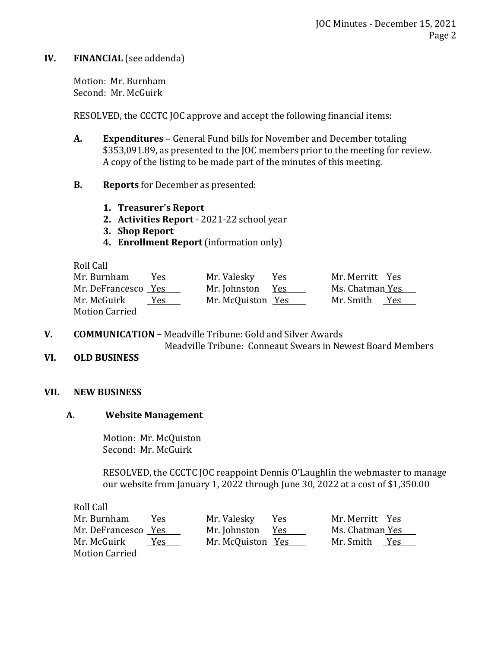## **IV. FINANCIAL** (see addenda)

Motion: Mr. Burnham Second: Mr. McGuirk

RESOLVED, the CCCTC JOC approve and accept the following financial items:

- **A. Expenditures**  General Fund bills for November and December totaling \$353,091.89, as presented to the JOC members prior to the meeting for review. A copy of the listing to be made part of the minutes of this meeting.
- **B. Reports** for December as presented:
	- **1. Treasurer's Report**
	- **2. Activities Report**  2021-22 school year
	- **3. Shop Report**
	- **4. Enrollment Report** (information only)

Roll Call

| Mr. Burnham           | Yes. | Mr. Valesky       | Yes | Mr. Merritt Yes |     |
|-----------------------|------|-------------------|-----|-----------------|-----|
| Mr. DeFrancesco Yes   |      | Mr. Johnston      | Yes | Ms. Chatman Yes |     |
| Mr. McGuirk           | Yes. | Mr. McQuiston Yes |     | Mr. Smith       | Yes |
| <b>Motion Carried</b> |      |                   |     |                 |     |

**V. COMMUNICATION –** Meadville Tribune: Gold and Silver Awards

Meadville Tribune: Conneaut Swears in Newest Board Members

**VI. OLD BUSINESS**

### **VII. NEW BUSINESS**

### **A. Website Management**

Motion: Mr. McQuiston Second: Mr. McGuirk

RESOLVED, the CCCTC JOC reappoint Dennis O'Laughlin the webmaster to manage our website from January 1, 2022 through June 30, 2022 at a cost of \$1,350.00

Roll Call

| Mr. Burnham           | Yes. | Mr. Valesky       | Yes | Mr. Merritt Yes  |
|-----------------------|------|-------------------|-----|------------------|
| Mr. DeFrancesco Yes   |      | Mr. Johnston      | Yes | Ms. Chatman Yes  |
| Mr. McGuirk           | Yes. | Mr. McQuiston Yes |     | Mr. Smith<br>Yes |
| <b>Motion Carried</b> |      |                   |     |                  |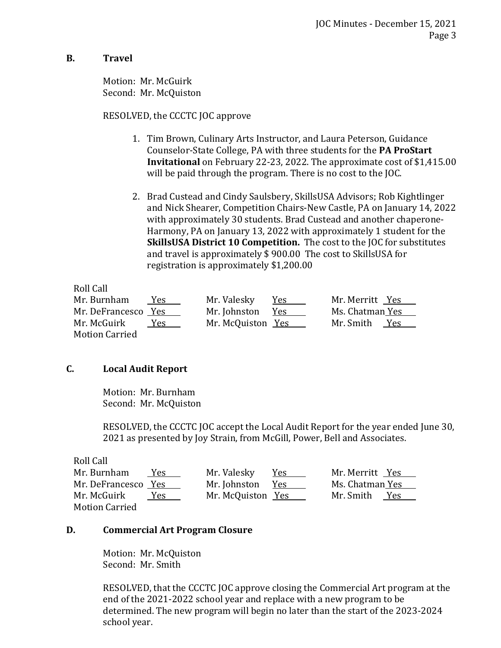## **B. Travel**

Motion: Mr. McGuirk Second: Mr. McQuiston

### RESOLVED, the CCCTC JOC approve

- 1. Tim Brown, Culinary Arts Instructor, and Laura Peterson, Guidance Counselor-State College, PA with three students for the **PA ProStart Invitational** on February 22-23, 2022. The approximate cost of \$1,415.00 will be paid through the program. There is no cost to the JOC.
- 2. Brad Custead and Cindy Saulsbery, SkillsUSA Advisors; Rob Kightlinger and Nick Shearer, Competition Chairs-New Castle, PA on January 14, 2022 with approximately 30 students. Brad Custead and another chaperone-Harmony, PA on January 13, 2022 with approximately 1 student for the **SkillsUSA District 10 Competition.** The cost to the JOC for substitutes and travel is approximately \$ 900.00 The cost to SkillsUSA for registration is approximately \$1,200.00

Roll Call

| Mr. Burnham         | Yes. | Mr. Valesky       | Yes | Mr. Merritt Yes  |
|---------------------|------|-------------------|-----|------------------|
| Mr. DeFrancesco Yes |      | Mr. Johnston      | Yes | Ms. Chatman Yes  |
| Mr. McGuirk         | Yes. | Mr. McQuiston Yes |     | Mr. Smith<br>Yes |
| Motion Carried      |      |                   |     |                  |

# **C. Local Audit Report**

Motion: Mr. Burnham Second: Mr. McQuiston

RESOLVED, the CCCTC JOC accept the Local Audit Report for the year ended June 30, 2021 as presented by Joy Strain, from McGill, Power, Bell and Associates.

| Roll Call             |                   |      |                  |
|-----------------------|-------------------|------|------------------|
| Mr. Burnham<br>Yes.   | Mr. Valesky       | Yes. | Mr. Merritt Yes  |
| Mr. DeFrancesco Yes   | Mr. Johnston      | Yes  | Ms. Chatman Yes  |
| Mr. McGuirk<br>Yes.   | Mr. McQuiston Yes |      | Mr. Smith<br>Yes |
| <b>Motion Carried</b> |                   |      |                  |

# **D. Commercial Art Program Closure**

Motion: Mr. McQuiston Second: Mr. Smith

RESOLVED, that the CCCTC JOC approve closing the Commercial Art program at the end of the 2021-2022 school year and replace with a new program to be determined. The new program will begin no later than the start of the 2023-2024 school year.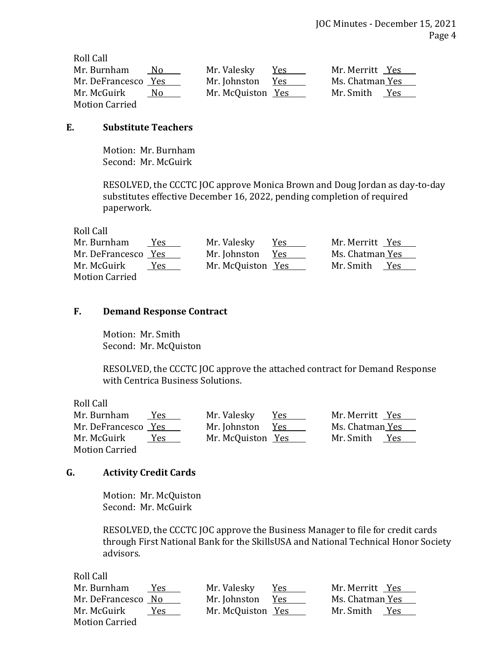| Roll Call             |                   |      |                  |
|-----------------------|-------------------|------|------------------|
| Mr. Burnham<br>No.    | Mr. Valesky       | Yes. | Mr. Merritt Yes  |
| Mr. DeFrancesco Yes   | Mr. Johnston      | Yes  | Ms. Chatman Yes  |
| Mr. McGuirk<br>No.    | Mr. McQuiston Yes |      | Mr. Smith<br>Yes |
| <b>Motion Carried</b> |                   |      |                  |

## **E. Substitute Teachers**

Motion: Mr. Burnham Second: Mr. McGuirk

RESOLVED, the CCCTC JOC approve Monica Brown and Doug Jordan as day-to-day substitutes effective December 16, 2022, pending completion of required paperwork.

Roll Call

| Mr. Burnham           | Yes. | Mr. Valesky       | Yes | Mr. Merritt Yes  |
|-----------------------|------|-------------------|-----|------------------|
| Mr. DeFrancesco Yes   |      | Mr. Johnston      | Yes | Ms. Chatman Yes  |
| Mr. McGuirk           | Yes. | Mr. McQuiston Yes |     | Mr. Smith<br>Yes |
| <b>Motion Carried</b> |      |                   |     |                  |

### **F. Demand Response Contract**

Motion: Mr. Smith Second: Mr. McQuiston

RESOLVED, the CCCTC JOC approve the attached contract for Demand Response with Centrica Business Solutions.

Roll Call

| Mr. Burnham           | Yes.       | Mr. Valesky       | Yes | Mr. Merritt Yes  |
|-----------------------|------------|-------------------|-----|------------------|
| Mr. DeFrancesco Yes   |            | Mr. Johnston      | Yes | Ms. Chatman Yes  |
| Mr. McGuirk           | <b>Yes</b> | Mr. McQuiston Yes |     | Mr. Smith<br>Yes |
| <b>Motion Carried</b> |            |                   |     |                  |

### **G. Activity Credit Cards**

Motion: Mr. McQuiston Second: Mr. McGuirk

RESOLVED, the CCCTC JOC approve the Business Manager to file for credit cards through First National Bank for the SkillsUSA and National Technical Honor Society advisors.

Roll Call

| Mr. Burnham           | Yes. | Mr. Valesky       | <u>Yes</u> | Mr. Merritt Yes |     |
|-----------------------|------|-------------------|------------|-----------------|-----|
| Mr. DeFrancesco No    |      | Mr. Johnston      | Yes        | Ms. Chatman Yes |     |
| Mr. McGuirk           | Yes. | Mr. McQuiston Yes |            | Mr. Smith       | Yes |
| <b>Motion Carried</b> |      |                   |            |                 |     |